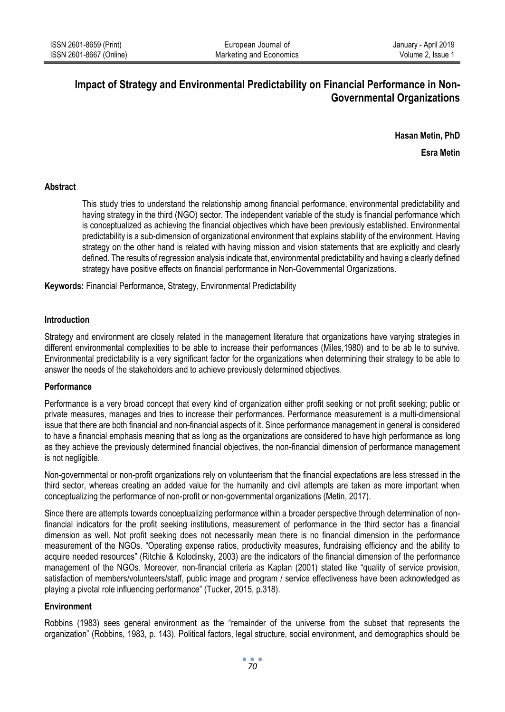# **Impact of Strategy and Environmental Predictability on Financial Performance in Non-Governmental Organizations**

**Hasan Metin, PhD**

**Esra Metin**

### **Abstract**

This study tries to understand the relationship among financial performance, environmental predictability and having strategy in the third (NGO) sector. The independent variable of the study is financial performance which is conceptualized as achieving the financial objectives which have been previously established. Environmental predictability is a sub-dimension of organizational environment that explains stability of the environment. Having strategy on the other hand is related with having mission and vision statements that are explicitly and clearly defined. The results of regression analysis indicate that, environmental predictability and having a clearly defined strategy have positive effects on financial performance in Non-Governmental Organizations.

**Keywords:** Financial Performance, Strategy, Environmental Predictability

# **Introduction**

Strategy and environment are closely related in the management literature that organizations have varying strategies in different environmental complexities to be able to increase their performances (Miles,1980) and to be ab le to survive. Environmental predictability is a very significant factor for the organizations when determining their strategy to be able to answer the needs of the stakeholders and to achieve previously determined objectives.

### **Performance**

Performance is a very broad concept that every kind of organization either profit seeking or not profit seeking; public or private measures, manages and tries to increase their performances. Performance measurement is a multi-dimensional issue that there are both financial and non-financial aspects of it. Since performance management in general is considered to have a financial emphasis meaning that as long as the organizations are considered to have high performance as long as they achieve the previously determined financial objectives, the non-financial dimension of performance management is not negligible.

Non-governmental or non-profit organizations rely on volunteerism that the financial expectations are less stressed in the third sector, whereas creating an added value for the humanity and civil attempts are taken as more important when conceptualizing the performance of non-profit or non-governmental organizations (Metin, 2017).

Since there are attempts towards conceptualizing performance within a broader perspective through determination of nonfinancial indicators for the profit seeking institutions, measurement of performance in the third sector has a financial dimension as well. Not profit seeking does not necessarily mean there is no financial dimension in the performance measurement of the NGOs. "Operating expense ratios, productivity measures, fundraising efficiency and the ability to acquire needed resources" (Ritchie & Kolodinsky, 2003) are the indicators of the financial dimension of the performance management of the NGOs. Moreover, non-financial criteria as Kaplan (2001) stated like "quality of service provision, satisfaction of members/volunteers/staff, public image and program / service effectiveness have been acknowledged as playing a pivotal role influencing performance" (Tucker, 2015, p.318).

### **Environment**

Robbins (1983) sees general environment as the "remainder of the universe from the subset that represents the organization" (Robbins, 1983, p. 143). Political factors, legal structure, social environment, and demographics should be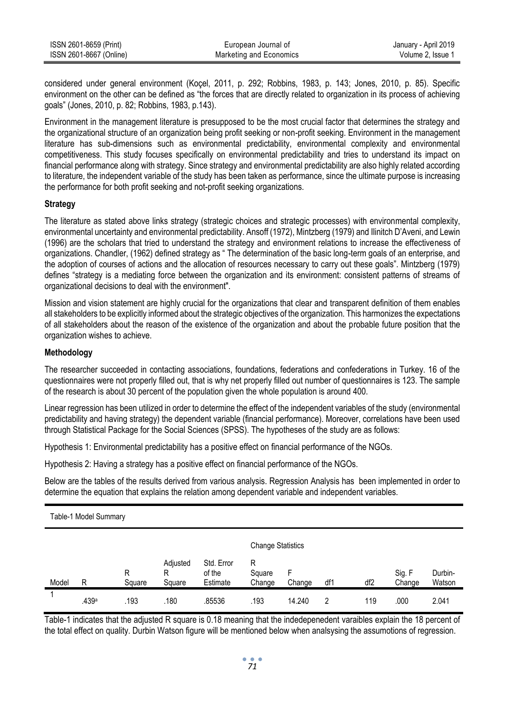| ISSN 2601-8659 (Print)  | European Journal of     | January - April 2019 |
|-------------------------|-------------------------|----------------------|
| ISSN 2601-8667 (Online) | Marketing and Economics | Volume 2. Issue 1    |

considered under general environment (Koçel, 2011, p. 292; Robbins, 1983, p. 143; Jones, 2010, p. 85). Specific environment on the other can be defined as "the forces that are directly related to organization in its process of achieving goals" (Jones, 2010, p. 82; Robbins, 1983, p.143).

Environment in the management literature is presupposed to be the most crucial factor that determines the strategy and the organizational structure of an organization being profit seeking or non-profit seeking. Environment in the management literature has sub-dimensions such as environmental predictability, environmental complexity and environmental competitiveness. This study focuses specifically on environmental predictability and tries to understand its impact on financial performance along with strategy. Since strategy and environmental predictability are also highly related according to literature, the independent variable of the study has been taken as performance, since the ultimate purpose is increasing the performance for both profit seeking and not-profit seeking organizations.

# **Strategy**

The literature as stated above links strategy (strategic choices and strategic processes) with environmental complexity, environmental uncertainty and environmental predictability. Ansoff (1972), Mintzberg (1979) and Ilinitch D'Aveni, and Lewin (1996) are the scholars that tried to understand the strategy and environment relations to increase the effectiveness of organizations. Chandler, (1962) defined strategy as " The determination of the basic long-term goals of an enterprise, and the adoption of courses of actions and the allocation of resources necessary to carry out these goals". Mintzberg (1979) defines "strategy is a mediating force between the organization and its environment: consistent patterns of streams of organizational decisions to deal with the environment".

Mission and vision statement are highly crucial for the organizations that clear and transparent definition of them enables all stakeholders to be explicitly informed about the strategic objectives of the organization. This harmonizes the expectations of all stakeholders about the reason of the existence of the organization and about the probable future position that the organization wishes to achieve.

### **Methodology**

The researcher succeeded in contacting associations, foundations, federations and confederations in Turkey. 16 of the questionnaires were not properly filled out, that is why net properly filled out number of questionnaires is 123. The sample of the research is about 30 percent of the population given the whole population is around 400.

Linear regression has been utilized in order to determine the effect of the independent variables of the study (environmental predictability and having strategy) the dependent variable (financial performance). Moreover, correlations have been used through Statistical Package for the Social Sciences (SPSS). The hypotheses of the study are as follows:

Hypothesis 1: Environmental predictability has a positive effect on financial performance of the NGOs.

Hypothesis 2: Having a strategy has a positive effect on financial performance of the NGOs.

Below are the tables of the results derived from various analysis. Regression Analysis has been implemented in order to determine the equation that explains the relation among dependent variable and independent variables.

| Table-1 Model Summary |       |             |                         |                                  |                          |             |     |                 |                  |                   |
|-----------------------|-------|-------------|-------------------------|----------------------------------|--------------------------|-------------|-----|-----------------|------------------|-------------------|
|                       |       |             |                         |                                  | <b>Change Statistics</b> |             |     |                 |                  |                   |
| Model                 | R     | R<br>Square | Adjusted<br>R<br>Square | Std. Error<br>of the<br>Estimate | R<br>Square<br>Change    | F<br>Change | df1 | df <sub>2</sub> | Sig. F<br>Change | Durbin-<br>Watson |
|                       | .439a | .193        | .180                    | .85536                           | .193                     | 14.240      | 2   | 119             | .000             | 2.041             |

Table-1 indicates that the adjusted R square is 0.18 meaning that the indedepenedent varaibles explain the 18 percent of the total effect on quality. Durbin Watson figure will be mentioned below when analsysing the assumotions of regression.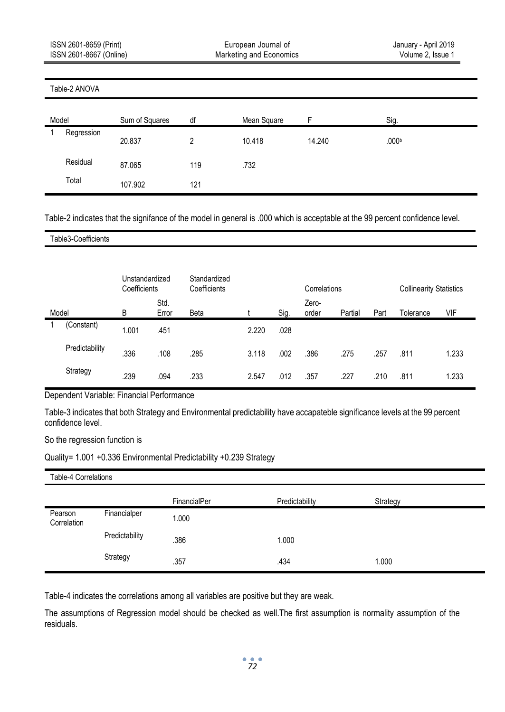|       | Table-2 ANOVA |                |     |             |        |                   |
|-------|---------------|----------------|-----|-------------|--------|-------------------|
| Model |               | Sum of Squares | df  | Mean Square | F      | Sig.              |
|       | Regression    | 20.837         | 2   | 10.418      | 14.240 | .000 <sub>b</sub> |
|       | Residual      | 87.065         | 119 | .732        |        |                   |
|       | Total         | 107.902        | 121 |             |        |                   |

Table-2 indicates that the signifance of the model in general is .000 which is acceptable at the 99 percent confidence level.

|       |                | Unstandardized<br>Coefficients |               | Standardized<br>Coefficients |       |      | Correlations   |         |      | <b>Collinearity Statistics</b> |       |
|-------|----------------|--------------------------------|---------------|------------------------------|-------|------|----------------|---------|------|--------------------------------|-------|
| Model |                | B                              | Std.<br>Error | Beta                         |       | Sig. | Zero-<br>order | Partial | Part | Tolerance                      | VIF   |
|       | (Constant)     | 1.001                          | .451          |                              | 2.220 | .028 |                |         |      |                                |       |
|       | Predictability | .336                           | .108          | .285                         | 3.118 | .002 | .386           | .275    | .257 | .811                           | 1.233 |
|       | Strategy       | .239                           | .094          | .233                         | 2.547 | .012 | .357           | .227    | .210 | .811                           | 1.233 |

Dependent Variable: Financial Performance

Table-3 indicates that both Strategy and Environmental predictability have accapateble significance levels at the 99 percent confidence level.

So the regression function is

Table3-Coefficients

Quality= 1.001 +0.336 Environmental Predictability +0.239 Strategy

| <b>Table-4 Correlations</b> |                |              |                |          |  |  |
|-----------------------------|----------------|--------------|----------------|----------|--|--|
|                             |                | FinancialPer | Predictability | Strategy |  |  |
| Pearson<br>Correlation      | Financialper   | 1.000        |                |          |  |  |
|                             | Predictability | .386         | 1.000          |          |  |  |
|                             | Strategy       | .357         | .434           | 1.000    |  |  |

Table-4 indicates the correlations among all variables are positive but they are weak.

The assumptions of Regression model should be checked as well.The first assumption is normality assumption of the residuals.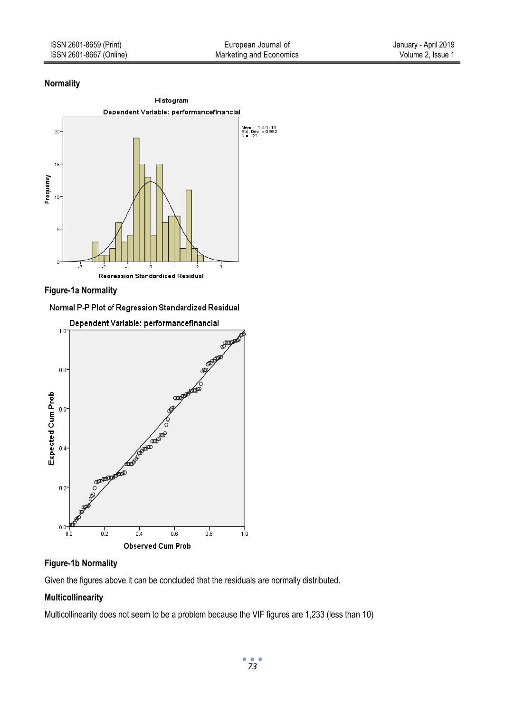# **Normality**



**Figure-1a Normality**

Normal P-P Plot of Regression Standardized Residual



# **Figure-1b Normality**

Given the figures above it can be concluded that the residuals are normally distributed.

# **Multicollinearity**

Multicollinearity does not seem to be a problem because the VIF figures are 1,233 (less than 10)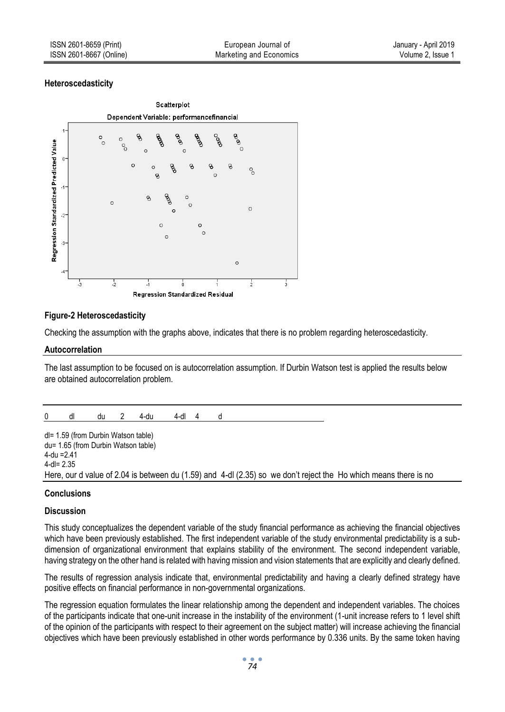# **Heteroscedasticity**



### **Figure-2 Heteroscedasticity**

Checking the assumption with the graphs above, indicates that there is no problem regarding heteroscedasticity.

#### **Autocorrelation**

The last assumption to be focused on is autocorrelation assumption. If Durbin Watson test is applied the results below are obtained autocorrelation problem.

0 dl du 2 4-du 4-dl 4 d dl= 1.59 (from Durbin Watson table) du= 1.65 (from Durbin Watson table) 4-du  $=2.41$ 4-dl= 2.35 Here, our d value of 2.04 is between du (1.59) and 4-dl (2.35) so we don't reject the Ho which means there is no

### **Conclusions**

### **Discussion**

This study conceptualizes the dependent variable of the study financial performance as achieving the financial objectives which have been previously established. The first independent variable of the study environmental predictability is a subdimension of organizational environment that explains stability of the environment. The second independent variable, having strategy on the other hand is related with having mission and vision statements that are explicitly and clearly defined.

The results of regression analysis indicate that, environmental predictability and having a clearly defined strategy have positive effects on financial performance in non-governmental organizations.

The regression equation formulates the linear relationship among the dependent and independent variables. The choices of the participants indicate that one-unit increase in the instability of the environment (1-unit increase refers to 1 level shift of the opinion of the participants with respect to their agreement on the subject matter) will increase achieving the financial objectives which have been previously established in other words performance by 0.336 units. By the same token having